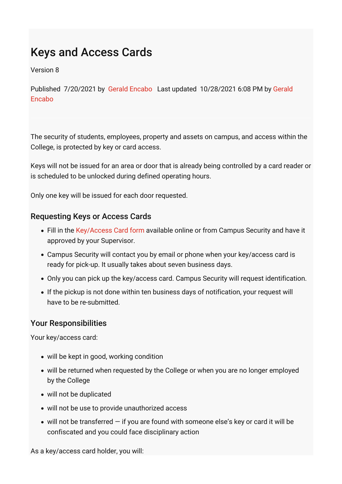# Keys and Access Cards

Version 8

[Published 7/20/2021 by Gerald Encabo Last updated 10/28/2021 6:08 PM by Gerald](https://students.senecacollege.ca/people/gerald-encabo) Encabo

The security of students, employees, property and assets on campus, and access within the College, is protected by key or card access.

Keys will not be issued for an area or door that is already being controlled by a card reader or is scheduled to be unlocked during defined operating hours.

Only one key will be issued for each door requested.

#### Requesting Keys or Access Cards

- Fill in the [Key/Access Card form](https://www.senecacollege.ca/content/dam/projects/seneca/about/policies/seneca-keycard-access-request-form.xls) available online or from Campus Security and have it approved by your Supervisor.
- Campus Security will contact you by email or phone when your key/access card is ready for pick-up. It usually takes about seven business days.
- Only you can pick up the key/access card. Campus Security will request identification.
- If the pickup is not done within ten business days of notification, your request will have to be re-submitted.

#### Your Responsibilities

Your key/access card:

- will be kept in good, working condition
- will be returned when requested by the College or when you are no longer employed by the College
- will not be duplicated
- will not be use to provide unauthorized access
- $\bullet$  will not be transferred  $-$  if you are found with someone else's key or card it will be confiscated and you could face disciplinary action